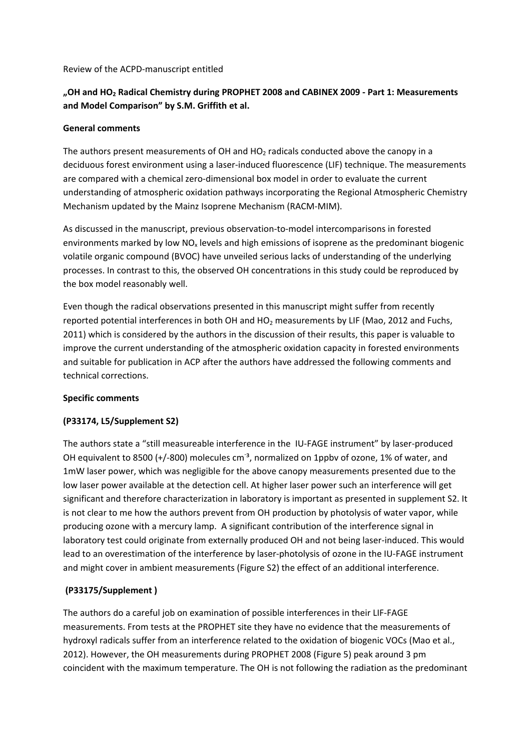### Review of the ACPD‐manuscript entitled

# **"OH and HO2 Radical Chemistry during PROPHET 2008 and CABINEX 2009 ‐ Part 1: Measurements and Model Comparison" by S.M. Griffith et al.**

#### **General comments**

The authors present measurements of OH and  $HO<sub>2</sub>$  radicals conducted above the canopy in a deciduous forest environment using a laser-induced fluorescence (LIF) technique. The measurements are compared with a chemical zero-dimensional box model in order to evaluate the current understanding of atmospheric oxidation pathways incorporating the Regional Atmospheric Chemistry Mechanism updated by the Mainz Isoprene Mechanism (RACM‐MIM).

As discussed in the manuscript, previous observation‐to‐model intercomparisons in forested environments marked by low  $NO<sub>x</sub>$  levels and high emissions of isoprene as the predominant biogenic volatile organic compound (BVOC) have unveiled serious lacks of understanding of the underlying processes. In contrast to this, the observed OH concentrations in this study could be reproduced by the box model reasonably well.

Even though the radical observations presented in this manuscript might suffer from recently reported potential interferences in both OH and  $HO<sub>2</sub>$  measurements by LIF (Mao, 2012 and Fuchs, 2011) which is considered by the authors in the discussion of their results, this paper is valuable to improve the current understanding of the atmospheric oxidation capacity in forested environments and suitable for publication in ACP after the authors have addressed the following comments and technical corrections.

### **Specific comments**

### **(P33174, L5/Supplement S2)**

The authors state a "still measureable interference in the IU‐FAGE instrument" by laser‐produced OH equivalent to 8500 (+/-800) molecules cm<sup>-3</sup>, normalized on 1ppbv of ozone, 1% of water, and 1mW laser power, which was negligible for the above canopy measurements presented due to the low laser power available at the detection cell. At higher laser power such an interference will get significant and therefore characterization in laboratory is important as presented in supplement S2. It is not clear to me how the authors prevent from OH production by photolysis of water vapor, while producing ozone with a mercury lamp. A significant contribution of the interference signal in laboratory test could originate from externally produced OH and not being laser-induced. This would lead to an overestimation of the interference by laser-photolysis of ozone in the IU-FAGE instrument and might cover in ambient measurements (Figure S2) the effect of an additional interference.

### **(P33175/Supplement )**

The authors do a careful job on examination of possible interferences in their LIF‐FAGE measurements. From tests at the PROPHET site they have no evidence that the measurements of hydroxyl radicals suffer from an interference related to the oxidation of biogenic VOCs (Mao et al., 2012). However, the OH measurements during PROPHET 2008 (Figure 5) peak around 3 pm coincident with the maximum temperature. The OH is not following the radiation as the predominant